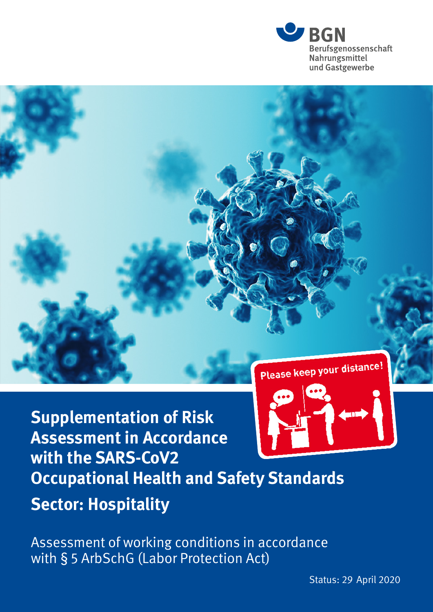



**Supplementation of Risk Assessment in Accordance with the SARS-CoV2 Occupational Health and Safety Standards Sector: Hospitality**

Assessment of working conditions in accordance with § 5 ArbSchG (Labor Protection Act)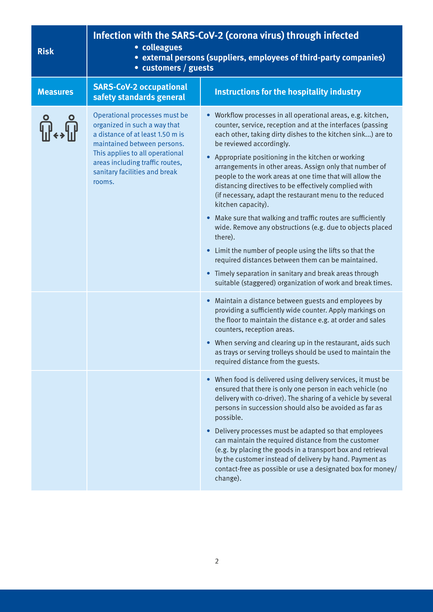| <b>Risk</b>     | Infection with the SARS-CoV-2 (corona virus) through infected<br>· colleagues<br>• external persons (suppliers, employees of third-party companies)<br>• customers / guests                                                                       |                                                                                                                                                                                                                                                                                                                                                                                                                                                                                                                                                                                                                                                                                                                                                                                                                                                                                                                                                                                                                                                                                                                                                                                                                                                                                                                                                  |
|-----------------|---------------------------------------------------------------------------------------------------------------------------------------------------------------------------------------------------------------------------------------------------|--------------------------------------------------------------------------------------------------------------------------------------------------------------------------------------------------------------------------------------------------------------------------------------------------------------------------------------------------------------------------------------------------------------------------------------------------------------------------------------------------------------------------------------------------------------------------------------------------------------------------------------------------------------------------------------------------------------------------------------------------------------------------------------------------------------------------------------------------------------------------------------------------------------------------------------------------------------------------------------------------------------------------------------------------------------------------------------------------------------------------------------------------------------------------------------------------------------------------------------------------------------------------------------------------------------------------------------------------|
| <b>Measures</b> | <b>SARS-CoV-2 occupational</b><br>safety standards general                                                                                                                                                                                        | <b>Instructions for the hospitality industry</b>                                                                                                                                                                                                                                                                                                                                                                                                                                                                                                                                                                                                                                                                                                                                                                                                                                                                                                                                                                                                                                                                                                                                                                                                                                                                                                 |
|                 | Operational processes must be<br>organized in such a way that<br>a distance of at least 1.50 m is<br>maintained between persons.<br>This applies to all operational<br>areas including traffic routes,<br>sanitary facilities and break<br>rooms. | • Workflow processes in all operational areas, e.g. kitchen,<br>counter, service, reception and at the interfaces (passing<br>each other, taking dirty dishes to the kitchen sink) are to<br>be reviewed accordingly.<br>Appropriate positioning in the kitchen or working<br>arrangements in other areas. Assign only that number of<br>people to the work areas at one time that will allow the<br>distancing directives to be effectively complied with<br>(if necessary, adapt the restaurant menu to the reduced<br>kitchen capacity).<br>Make sure that walking and traffic routes are sufficiently<br>wide. Remove any obstructions (e.g. due to objects placed<br>there).<br>Limit the number of people using the lifts so that the<br>$\bullet$<br>required distances between them can be maintained.<br>Timely separation in sanitary and break areas through<br>$\bullet$<br>suitable (staggered) organization of work and break times.<br>Maintain a distance between guests and employees by<br>providing a sufficiently wide counter. Apply markings on<br>the floor to maintain the distance e.g. at order and sales<br>counters, reception areas.<br>When serving and clearing up in the restaurant, aids such<br>$\bullet$<br>as trays or serving trolleys should be used to maintain the<br>required distance from the guests. |
|                 |                                                                                                                                                                                                                                                   | When food is delivered using delivery services, it must be<br>ensured that there is only one person in each vehicle (no<br>delivery with co-driver). The sharing of a vehicle by several<br>persons in succession should also be avoided as far as<br>possible.<br>Delivery processes must be adapted so that employees<br>can maintain the required distance from the customer<br>(e.g. by placing the goods in a transport box and retrieval<br>by the customer instead of delivery by hand. Payment as<br>contact-free as possible or use a designated box for money/<br>change).                                                                                                                                                                                                                                                                                                                                                                                                                                                                                                                                                                                                                                                                                                                                                             |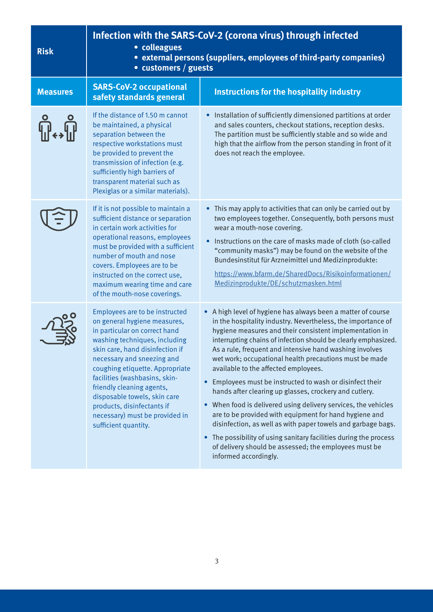| <b>Risk</b>     | Infection with the SARS-CoV-2 (corona virus) through infected<br>• colleagues<br>• external persons (suppliers, employees of third-party companies)<br>• customers / guests                                                                                                                                                                                                                                                |                                                                                                                                                                                                                                                                                                                                                                                                                                                                                                                                                                                                                                                                                                                                                                                                                                                                                                  |
|-----------------|----------------------------------------------------------------------------------------------------------------------------------------------------------------------------------------------------------------------------------------------------------------------------------------------------------------------------------------------------------------------------------------------------------------------------|--------------------------------------------------------------------------------------------------------------------------------------------------------------------------------------------------------------------------------------------------------------------------------------------------------------------------------------------------------------------------------------------------------------------------------------------------------------------------------------------------------------------------------------------------------------------------------------------------------------------------------------------------------------------------------------------------------------------------------------------------------------------------------------------------------------------------------------------------------------------------------------------------|
| <b>Measures</b> | <b>SARS-CoV-2 occupational</b><br>safety standards general                                                                                                                                                                                                                                                                                                                                                                 | <b>Instructions for the hospitality industry</b>                                                                                                                                                                                                                                                                                                                                                                                                                                                                                                                                                                                                                                                                                                                                                                                                                                                 |
|                 | If the distance of 1.50 m cannot<br>be maintained, a physical<br>separation between the<br>respective workstations must<br>be provided to prevent the<br>transmission of infection (e.g.<br>sufficiently high barriers of<br>transparent material such as<br>Plexiglas or a similar materials).                                                                                                                            | • Installation of sufficiently dimensioned partitions at order<br>and sales counters, checkout stations, reception desks.<br>The partition must be sufficiently stable and so wide and<br>high that the airflow from the person standing in front of it<br>does not reach the employee.                                                                                                                                                                                                                                                                                                                                                                                                                                                                                                                                                                                                          |
|                 | If it is not possible to maintain a<br>sufficient distance or separation<br>in certain work activities for<br>operational reasons, employees<br>must be provided with a sufficient<br>number of mouth and nose<br>covers. Employees are to be<br>instructed on the correct use,<br>maximum wearing time and care<br>of the mouth-nose coverings.                                                                           | This may apply to activities that can only be carried out by<br>two employees together. Consequently, both persons must<br>wear a mouth-nose covering.<br>Instructions on the care of masks made of cloth (so-called<br>$\bullet$<br>"community masks") may be found on the website of the<br>Bundesinstitut für Arzneimittel und Medizinprodukte:<br>https://www.bfarm.de/SharedDocs/Risikoinformationen/<br>Medizinprodukte/DE/schutzmasken.html                                                                                                                                                                                                                                                                                                                                                                                                                                               |
|                 | Employees are to be instructed<br>on general hygiene measures,<br>in particular on correct hand<br>washing techniques, including<br>skin care, hand disinfection if<br>necessary and sneezing and<br>coughing etiquette. Appropriate<br>facilities (washbasins, skin-<br>friendly cleaning agents,<br>disposable towels, skin care<br>products, disinfectants if<br>necessary) must be provided in<br>sufficient quantity. | • A high level of hygiene has always been a matter of course<br>in the hospitality industry. Nevertheless, the importance of<br>hygiene measures and their consistent implementation in<br>interrupting chains of infection should be clearly emphasized.<br>As a rule, frequent and intensive hand washing involves<br>wet work; occupational health precautions must be made<br>available to the affected employees.<br>• Employees must be instructed to wash or disinfect their<br>hands after clearing up glasses, crockery and cutlery.<br>• When food is delivered using delivery services, the vehicles<br>are to be provided with equipment for hand hygiene and<br>disinfection, as well as with paper towels and garbage bags.<br>• The possibility of using sanitary facilities during the process<br>of delivery should be assessed; the employees must be<br>informed accordingly. |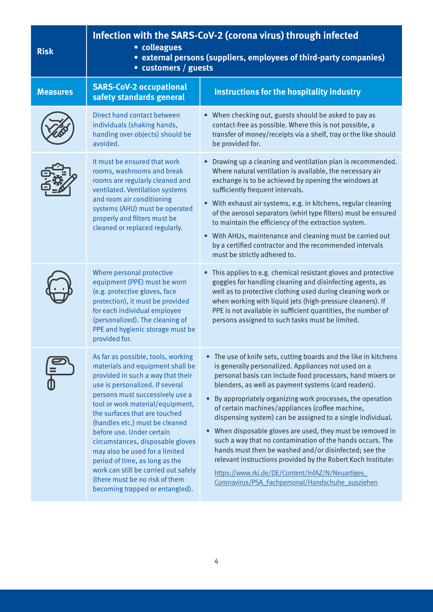| <b>Risk</b>     | Infection with the SARS-CoV-2 (corona virus) through infected<br>• colleagues<br>• external persons (suppliers, employees of third-party companies)<br>• customers / guests                                                                                                                                                                                                                                                                                                                                                                |                                                                                                                                                                                                                                                                                                                                                                                                                                                                                                                                                                                                                                                                                                                                                                                          |
|-----------------|--------------------------------------------------------------------------------------------------------------------------------------------------------------------------------------------------------------------------------------------------------------------------------------------------------------------------------------------------------------------------------------------------------------------------------------------------------------------------------------------------------------------------------------------|------------------------------------------------------------------------------------------------------------------------------------------------------------------------------------------------------------------------------------------------------------------------------------------------------------------------------------------------------------------------------------------------------------------------------------------------------------------------------------------------------------------------------------------------------------------------------------------------------------------------------------------------------------------------------------------------------------------------------------------------------------------------------------------|
| <b>Measures</b> | <b>SARS-CoV-2 occupational</b><br>safety standards general                                                                                                                                                                                                                                                                                                                                                                                                                                                                                 | <b>Instructions for the hospitality industry</b>                                                                                                                                                                                                                                                                                                                                                                                                                                                                                                                                                                                                                                                                                                                                         |
|                 | Direct hand contact between<br>individuals (shaking hands,<br>handing over objects) should be<br>avoided.                                                                                                                                                                                                                                                                                                                                                                                                                                  | • When checking out, guests should be asked to pay as<br>contact-free as possible. Where this is not possible, a<br>transfer of money/receipts via a shelf, tray or the like should<br>be provided for.                                                                                                                                                                                                                                                                                                                                                                                                                                                                                                                                                                                  |
|                 | It must be ensured that work<br>rooms, washrooms and break<br>rooms are regularly cleaned and<br>ventilated. Ventilation systems<br>and room air conditioning<br>systems (AHU) must be operated<br>properly and filters must be<br>cleaned or replaced regularly.                                                                                                                                                                                                                                                                          | Drawing up a cleaning and ventilation plan is recommended.<br>Where natural ventilation is available, the necessary air<br>exchange is to be achieved by opening the windows at<br>sufficiently frequent intervals.<br>With exhaust air systems, e.g. in kitchens, regular cleaning<br>of the aerosol separators (whirl type filters) must be ensured<br>to maintain the efficiency of the extraction system.<br>• With AHUs, maintenance and cleaning must be carried out<br>by a certified contractor and the recommended intervals<br>must be strictly adhered to.                                                                                                                                                                                                                    |
|                 | Where personal protective<br>equipment (PPE) must be worn<br>(e.g. protective gloves, face<br>protection), it must be provided<br>for each individual employee<br>(personalized). The cleaning of<br>PPE and hygienic storage must be<br>provided for.                                                                                                                                                                                                                                                                                     | • This applies to e.g. chemical resistant gloves and protective<br>goggles for handling cleaning and disinfecting agents, as<br>well as to protective clothing used during cleaning work or<br>when working with liquid jets (high-pressure cleaners). If<br>PPE is not available in sufficient quantities, the number of<br>persons assigned to such tasks must be limited.                                                                                                                                                                                                                                                                                                                                                                                                             |
|                 | As far as possible, tools, working<br>materials and equipment shall be<br>provided in such a way that their<br>use is personalized. If several<br>persons must successively use a<br>tool or work material/equipment,<br>the surfaces that are touched<br>(handles etc.) must be cleaned<br>before use. Under certain<br>circumstances, disposable gloves<br>may also be used for a limited<br>period of time, as long as the<br>work can still be carried out safely<br>(there must be no risk of them<br>becoming trapped or entangled). | • The use of knife sets, cutting boards and the like in kitchens<br>is generally personalized. Appliances not used on a<br>personal basis can include food processors, hand mixers or<br>blenders, as well as payment systems (card readers).<br>By appropriately organizing work processes, the operation<br>of certain machines/appliances (coffee machine,<br>dispensing system) can be assigned to a single individual.<br>• When disposable gloves are used, they must be removed in<br>such a way that no contamination of the hands occurs. The<br>hands must then be washed and/or disinfected; see the<br>relevant instructions provided by the Robert Koch Institute:<br>https://www.rki.de/DE/Content/InfAZ/N/Neuartiges<br>Coronavirus/PSA Fachpersonal/Handschuhe ausziehen |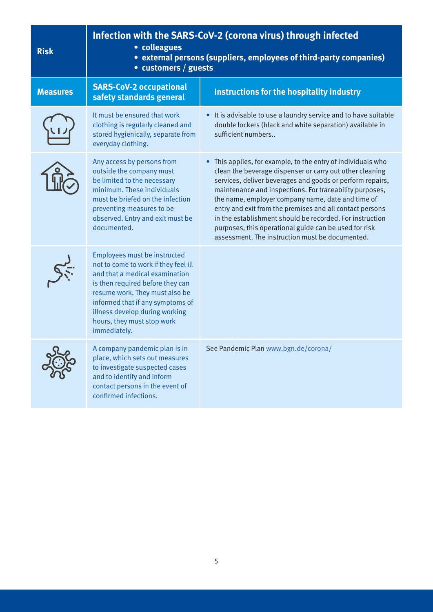| <b>Risk</b>     | Infection with the SARS-CoV-2 (corona virus) through infected<br>• colleagues<br>• external persons (suppliers, employees of third-party companies)<br>• customers / guests                                                                                                                      |                                                                                                                                                                                                                                                                                                                                                                                                                                                                                                                                         |
|-----------------|--------------------------------------------------------------------------------------------------------------------------------------------------------------------------------------------------------------------------------------------------------------------------------------------------|-----------------------------------------------------------------------------------------------------------------------------------------------------------------------------------------------------------------------------------------------------------------------------------------------------------------------------------------------------------------------------------------------------------------------------------------------------------------------------------------------------------------------------------------|
| <b>Measures</b> | <b>SARS-CoV-2 occupational</b><br>safety standards general                                                                                                                                                                                                                                       | Instructions for the hospitality industry                                                                                                                                                                                                                                                                                                                                                                                                                                                                                               |
|                 | It must be ensured that work<br>clothing is regularly cleaned and<br>stored hygienically, separate from<br>everyday clothing.                                                                                                                                                                    | It is advisable to use a laundry service and to have suitable<br>double lockers (black and white separation) available in<br>sufficient numbers                                                                                                                                                                                                                                                                                                                                                                                         |
|                 | Any access by persons from<br>outside the company must<br>be limited to the necessary<br>minimum. These individuals<br>must be briefed on the infection<br>preventing measures to be<br>observed. Entry and exit must be<br>documented.                                                          | This applies, for example, to the entry of individuals who<br>clean the beverage dispenser or carry out other cleaning<br>services, deliver beverages and goods or perform repairs,<br>maintenance and inspections. For traceability purposes,<br>the name, employer company name, date and time of<br>entry and exit from the premises and all contact persons<br>in the establishment should be recorded. For instruction<br>purposes, this operational guide can be used for risk<br>assessment. The instruction must be documented. |
|                 | Employees must be instructed<br>not to come to work if they feel ill<br>and that a medical examination<br>is then required before they can<br>resume work. They must also be<br>informed that if any symptoms of<br>illness develop during working<br>hours, they must stop work<br>immediately. |                                                                                                                                                                                                                                                                                                                                                                                                                                                                                                                                         |
| Q               | A company pandemic plan is in<br>place, which sets out measures<br>to investigate suspected cases<br>and to identify and inform<br>contact persons in the event of<br>confirmed infections.                                                                                                      | See Pandemic Plan www.bgn.de/corona/                                                                                                                                                                                                                                                                                                                                                                                                                                                                                                    |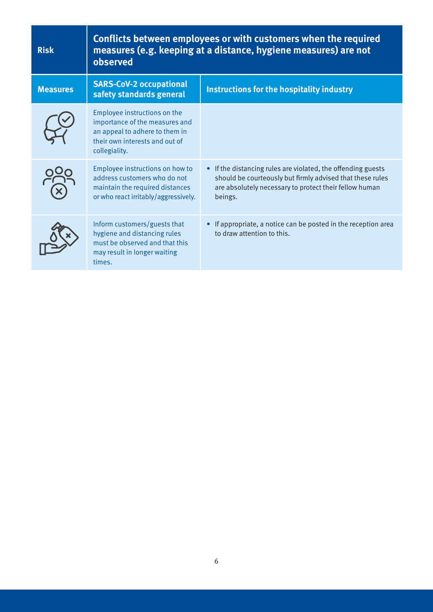| <b>Risk</b>     | <b>Conflicts between employees or with customers when the required</b><br>measures (e.g. keeping at a distance, hygiene measures) are not<br>observed |                                                                                                                                                                                                |
|-----------------|-------------------------------------------------------------------------------------------------------------------------------------------------------|------------------------------------------------------------------------------------------------------------------------------------------------------------------------------------------------|
| <b>Measures</b> | <b>SARS-CoV-2 occupational</b><br>safety standards general                                                                                            | <b>Instructions for the hospitality industry</b>                                                                                                                                               |
|                 | Employee instructions on the<br>importance of the measures and<br>an appeal to adhere to them in<br>their own interests and out of<br>collegiality.   |                                                                                                                                                                                                |
|                 | Employee instructions on how to<br>address customers who do not<br>maintain the required distances<br>or who react irritably/aggressively.            | • If the distancing rules are violated, the offending guests<br>should be courteously but firmly advised that these rules<br>are absolutely necessary to protect their fellow human<br>beings. |
|                 | Inform customers/guests that<br>hygiene and distancing rules<br>must be observed and that this<br>may result in longer waiting<br>times.              | If appropriate, a notice can be posted in the reception area<br>to draw attention to this.                                                                                                     |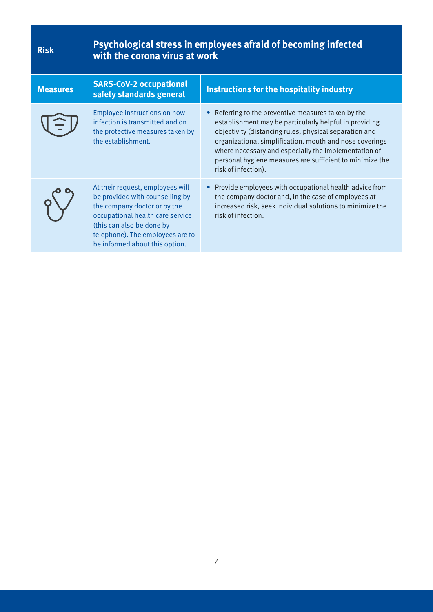| <b>Risk</b>     | Psychological stress in employees afraid of becoming infected<br>with the corona virus at work                                                                                                                                             |                                                                                                                                                                                                                                                                                                                                                                             |
|-----------------|--------------------------------------------------------------------------------------------------------------------------------------------------------------------------------------------------------------------------------------------|-----------------------------------------------------------------------------------------------------------------------------------------------------------------------------------------------------------------------------------------------------------------------------------------------------------------------------------------------------------------------------|
| <b>Measures</b> | <b>SARS-CoV-2 occupational</b><br>safety standards general                                                                                                                                                                                 | Instructions for the hospitality industry                                                                                                                                                                                                                                                                                                                                   |
|                 | Employee instructions on how<br>infection is transmitted and on<br>the protective measures taken by<br>the establishment.                                                                                                                  | Referring to the preventive measures taken by the<br>establishment may be particularly helpful in providing<br>objectivity (distancing rules, physical separation and<br>organizational simplification, mouth and nose coverings<br>where necessary and especially the implementation of<br>personal hygiene measures are sufficient to minimize the<br>risk of infection). |
|                 | At their request, employees will<br>be provided with counselling by<br>the company doctor or by the<br>occupational health care service<br>(this can also be done by<br>telephone). The employees are to<br>be informed about this option. | Provide employees with occupational health advice from<br>$\bullet$<br>the company doctor and, in the case of employees at<br>increased risk, seek individual solutions to minimize the<br>risk of infection.                                                                                                                                                               |